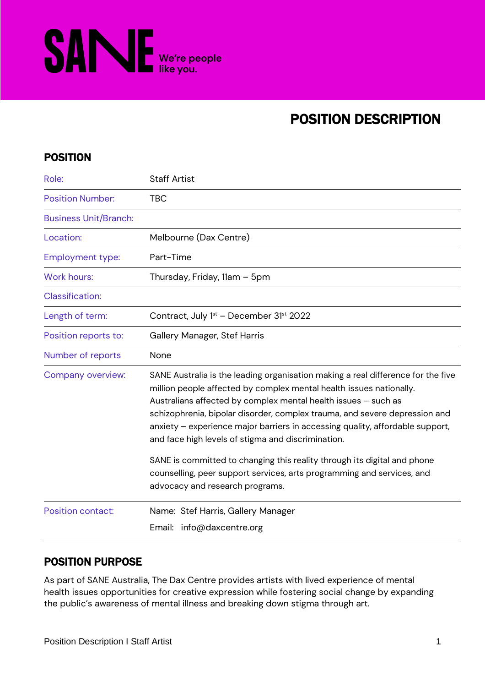

# POSITION DESCRIPTION

# POSITION

| Role:                        | <b>Staff Artist</b>                                                                                                                                                                                                                                                                                                                                                                                                                                                                                                        |
|------------------------------|----------------------------------------------------------------------------------------------------------------------------------------------------------------------------------------------------------------------------------------------------------------------------------------------------------------------------------------------------------------------------------------------------------------------------------------------------------------------------------------------------------------------------|
| <b>Position Number:</b>      | <b>TBC</b>                                                                                                                                                                                                                                                                                                                                                                                                                                                                                                                 |
| <b>Business Unit/Branch:</b> |                                                                                                                                                                                                                                                                                                                                                                                                                                                                                                                            |
| Location:                    | Melbourne (Dax Centre)                                                                                                                                                                                                                                                                                                                                                                                                                                                                                                     |
| <b>Employment type:</b>      | Part-Time                                                                                                                                                                                                                                                                                                                                                                                                                                                                                                                  |
| <b>Work hours:</b>           | Thursday, Friday, 11am - 5pm                                                                                                                                                                                                                                                                                                                                                                                                                                                                                               |
| <b>Classification:</b>       |                                                                                                                                                                                                                                                                                                                                                                                                                                                                                                                            |
| Length of term:              | Contract, July 1 <sup>st</sup> - December 31 <sup>st</sup> 2022                                                                                                                                                                                                                                                                                                                                                                                                                                                            |
| Position reports to:         | Gallery Manager, Stef Harris                                                                                                                                                                                                                                                                                                                                                                                                                                                                                               |
| Number of reports            | None                                                                                                                                                                                                                                                                                                                                                                                                                                                                                                                       |
| Company overview:            | SANE Australia is the leading organisation making a real difference for the five<br>million people affected by complex mental health issues nationally.<br>Australians affected by complex mental health issues - such as<br>schizophrenia, bipolar disorder, complex trauma, and severe depression and<br>anxiety - experience major barriers in accessing quality, affordable support,<br>and face high levels of stigma and discrimination.<br>SANE is committed to changing this reality through its digital and phone |
|                              | counselling, peer support services, arts programming and services, and<br>advocacy and research programs.                                                                                                                                                                                                                                                                                                                                                                                                                  |
| <b>Position contact:</b>     | Name: Stef Harris, Gallery Manager<br>Email: info@daxcentre.org                                                                                                                                                                                                                                                                                                                                                                                                                                                            |

# POSITION PURPOSE

As part of SANE Australia, The Dax Centre provides artists with lived experience of mental health issues opportunities for creative expression while fostering social change by expanding the public's awareness of mental illness and breaking down stigma through art.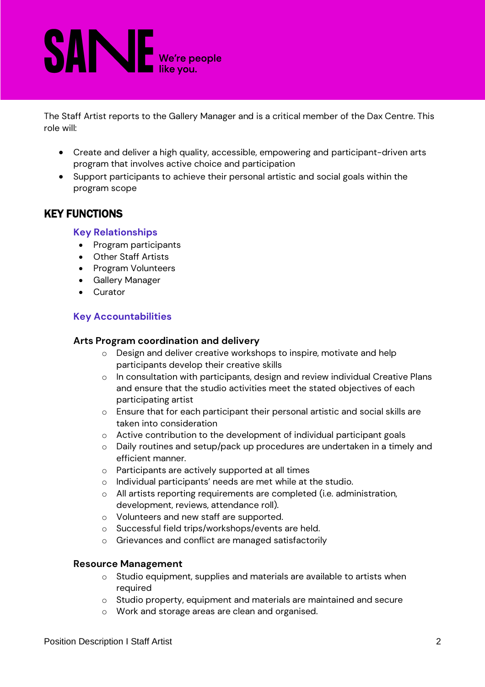# **SANE** We're people

The Staff Artist reports to the Gallery Manager and is a critical member of the Dax Centre. This role will:

- Create and deliver a high quality, accessible, empowering and participant-driven arts program that involves active choice and participation
- Support participants to achieve their personal artistic and social goals within the program scope

# KEY FUNCTIONS

#### **Key Relationships**

- Program participants
- Other Staff Artists
- Program Volunteers
- Gallery Manager
- Curator

#### **Key Accountabilities**

#### **Arts Program coordination and delivery**

- o Design and deliver creative workshops to inspire, motivate and help participants develop their creative skills
- o In consultation with participants, design and review individual Creative Plans and ensure that the studio activities meet the stated objectives of each participating artist
- o Ensure that for each participant their personal artistic and social skills are taken into consideration
- o Active contribution to the development of individual participant goals
- o Daily routines and setup/pack up procedures are undertaken in a timely and efficient manner.
- o Participants are actively supported at all times
- o Individual participants' needs are met while at the studio.
- o All artists reporting requirements are completed (i.e. administration, development, reviews, attendance roll).
- o Volunteers and new staff are supported.
- o Successful field trips/workshops/events are held.
- o Grievances and conflict are managed satisfactorily

#### **Resource Management**

- o Studio equipment, supplies and materials are available to artists when required
- o Studio property, equipment and materials are maintained and secure
- o Work and storage areas are clean and organised.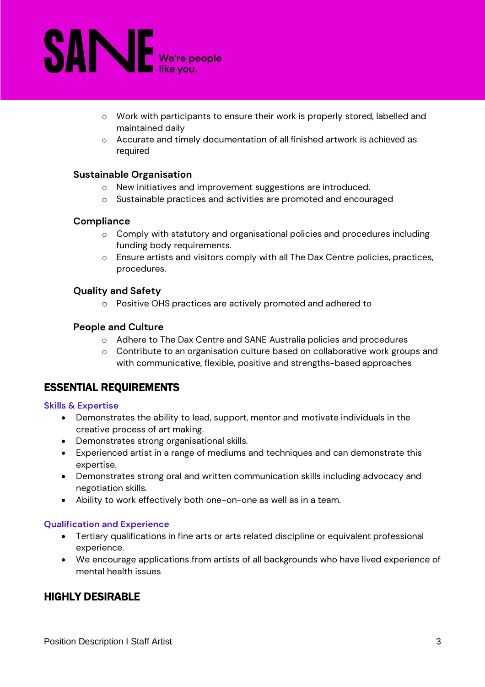

- o Work with participants to ensure their work is properly stored, labelled and maintained daily
- o Accurate and timely documentation of all finished artwork is achieved as required

#### **Sustainable Organisation**

- o New initiatives and improvement suggestions are introduced.
- o Sustainable practices and activities are promoted and encouraged

#### **Compliance**

- o Comply with statutory and organisational policies and procedures including funding body requirements.
- o Ensure artists and visitors comply with all The Dax Centre policies, practices, procedures.

#### **Quality and Safety**

o Positive OHS practices are actively promoted and adhered to

#### **People and Culture**

- o Adhere to The Dax Centre and SANE Australia policies and procedures
- o Contribute to an organisation culture based on collaborative work groups and with communicative, flexible, positive and strengths-based approaches

### ESSENTIAL REQUIREMENTS

#### **Skills & Expertise**

- Demonstrates the ability to lead, support, mentor and motivate individuals in the creative process of art making.
- Demonstrates strong organisational skills.
- Experienced artist in a range of mediums and techniques and can demonstrate this expertise.
- Demonstrates strong oral and written communication skills including advocacy and negotiation skills.
- Ability to work effectively both one-on-one as well as in a team.

#### **Qualification and Experience**

- Tertiary qualifications in fine arts or arts related discipline or equivalent professional experience.
- We encourage applications from artists of all backgrounds who have lived experience of mental health issues

## HIGHLY DESIRABLE